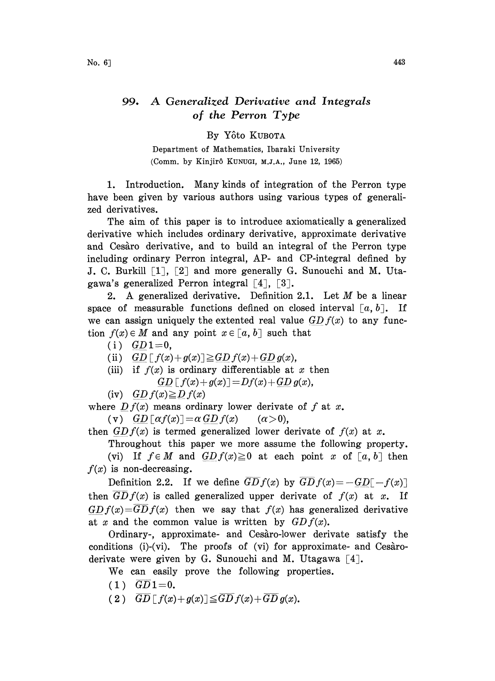## 99. A Generalized Derivative and Integrals of the Perron Type

## By Yôto KUBOTA

Department of Mathematics, Ibaraki University (Comm. by Kinjirô KUNUGI, M.J.A., June 12, 1965)

1. Introduction. Many kinds of integration of the Perron type have been given by various authors using various types of generalized derivatives.

The aim of this paper is to introduce axiomatically a generalized derivative which includes ordinary derivative, approximate derivative and Cesaro derivative, and to build an integral of the Perron type including ordinary Perron integral, AP-and CP-integral defined by J. C. Burkill  $\lceil 1 \rceil$ ,  $\lceil 2 \rceil$  and more generally G. Sunouchi and M. Utagawa's generalized Perron integral  $\lceil 4 \rceil$ ,  $\lceil 3 \rceil$ .

2. A generalized derivative. Definition 2.1. Let  $M$  be a linear space of measurable functions defined on closed interval  $[a, b]$ . If we can assign uniquely the extented real value  $GDf(x)$  to any function  $f(x) \in M$  and any point  $x \in [a, b]$  such that

 $(i)$   $GD1=0$ ,

(ii)  $GD[f(x)+g(x)] \geq GD(f(x)+GD(g(x)),$ 

(iii) if  $f(x)$  is ordinary differentiable at x then  $GD[f(x)+g(x)] = Df(x)+GD(g(x),$ 

(iv) GD  $f(x) \ge D f(x)$ 

where  $Df(x)$  means ordinary lower derivate of f at x. (v)  $GD[\alpha f(x)] = \alpha GD f(x)$  ( $\alpha > 0$ ),

then  $GDf(x)$  is termed generalized lower derivate of  $f(x)$  at x.

Throughout this paper we more assume the following property.

(vi) If  $f \in M$  and  $GDf(x) \ge 0$  at each point x of  $[a, b]$  then  $f(x)$  is non-decreasing.

Definition 2.2. If we define  $\overline{GD}f(x)$  by  $\overline{GD}f(x)=-\overline{GD}[-f(x)]$ then  $\overline{GD} f(x)$  is called generalized upper derivate of  $f(x)$  at x. If  $GDf(x)=\overline{GD}f(x)$  then we say that  $f(x)$  has generalized derivative at x and the common value is written by  $GDf(x)$ .

Ordinary-, approximate- and Cesaro-lower derivate satisfy the conditions (i)-(vi). The proofs of (vi) for approximate- and  $Ces\`{a}ro$ derivate were given by G. Sunouchi and M. Utagawa  $\lceil 4 \rceil$ .

We can easily prove the following properties.

- $(1)$   $\overline{GD}1=0$ .
- (2)  $\overline{GD} \left[ f(x) + g(x) \right] \leq \overline{GD} f(x) + \overline{GD} g(x)$ .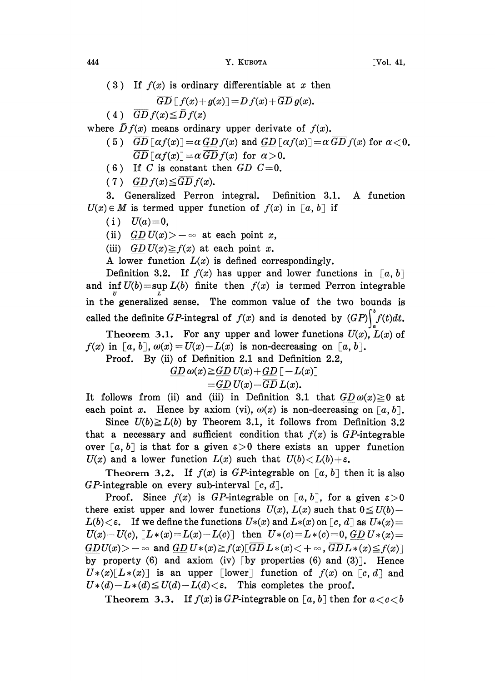(3) If  $f(x)$  is ordinary differentiable at x then

$$
\overline{GD}\,[\,f(x)+g(x)]=\overline{D}\,f(x)+\overline{GD}\,g(x).
$$

(4)  $\overline{GD} f(x) \leq \overline{D} f(x)$ 

where  $\bar{D}f(x)$  means ordinary upper derivate of  $f(x)$ .

- (5)  $\overline{GD} \left[ \alpha f(x) \right] = \alpha GD f(x)$  and  $GD \left[ \alpha f(x) \right] = \alpha \overline{GD} f(x)$  for  $\alpha < 0$ .  $\overline{GD} \left[ \alpha f(x) \right] = \alpha \, \overline{GD} \, f(x)$  for  $\alpha > 0$ .
- (6) If C is constant then  $GD$  C=0.
- (7) GD  $f(x) \leq \overline{GD} f(x)$ .

3. Generalized Perron integral. Definition 3.1. A function  $U(x) \in M$  is termed upper function of  $f(x)$  in  $[a, b]$  if

- (i)  $U(a)=0$ ,
- (ii)  $GD U(x) > -\infty$  at each point x,
- (iii) GD  $U(x) \geq f(x)$  at each point x.

A lower function  $L(x)$  is defined correspondingly.

Definition 3.2. If  $f(x)$  has upper and lower functions in [a, b] and  $\inf U(b) = \sup L(b)$  finite then  $f(x)$  is termed Perron integrable in the generalized sense. The common value of the two bounds is called the definite GP-integral of  $f(x)$  and is denoted by  $(GP)\Big|_0^b f(t)dt$ .

Theorem 3.1. For any upper and lower functions  $U(x)$ ,  $L(x)$  of  $f(x)$  in [a, b],  $\omega(x) = U(x) - L(x)$  is non-decreasing on [a, b].

Proof. By (ii) of Definition 2.1 and Definition 2.2,

 $GD \omega(x) \geq GD U(x) + GD [ -L(x) ]$ 

$$
=\underline{GD} U(x) - \overline{GD} L(x).
$$

It follows from (ii) and (iii) in Definition 3.1 that  $GD\omega(x) \geq 0$  at each point x. Hence by axiom (vi),  $\omega(x)$  is non-decreasing on [a, b].

Since  $U(b) \ge L(b)$  by Theorem 3.1, it follows from Definition 3.2 that a necessary and sufficient condition that  $f(x)$  is GP-integrable over [a, b] is that for a given  $\varepsilon > 0$  there exists an upper function  $U(x)$  and a lower function  $L(x)$  such that  $U(b) \lt L(b) + \varepsilon$ .

Theorem 3.2. If  $f(x)$  is GP-integrable on [a, b] then it is also GP-integrable on every sub-interval  $[c, d]$ .

Proof. Since  $f(x)$  is GP-integrable on [a, b], for a given  $\varepsilon > 0$ there exist upper and lower functions  $U(x)$ ,  $L(x)$  such that  $0 \le U(b)$ - $L(b)<\epsilon$ . If we define the functions  $U*(x)$  and  $L*(x)$  on  $\lceil c, d \rceil$  as  $U*(x)=$  $U(x)-U(c)$ ,  $[L*(x)=L(x)-L(c)]$  then  $U*(c)=L*(c)=0$ ,  $GD U*(x)=$  $GDU(x)>-\infty$  and  $GD U*(x){\geq}f(x)$ [ $\overline{GD} L*(x){<}+\infty$ ,  $\overline{GD} L*(x){\leq}f(x)$ ] by property (6) and axiom (iv) [by properties (6) and  $(3)$ ]. Hence  $U*(x)[L*(x)]$  is an upper [lower] function of  $f(x)$  on  $[c, d]$  and  $U*(d)-L*(d) \leq U(d)-L(d)<\varepsilon$ . This completes the proof.

Theorem 3.3. If  $f(x)$  is GP-integrable on [a, b] then for  $a < c < b$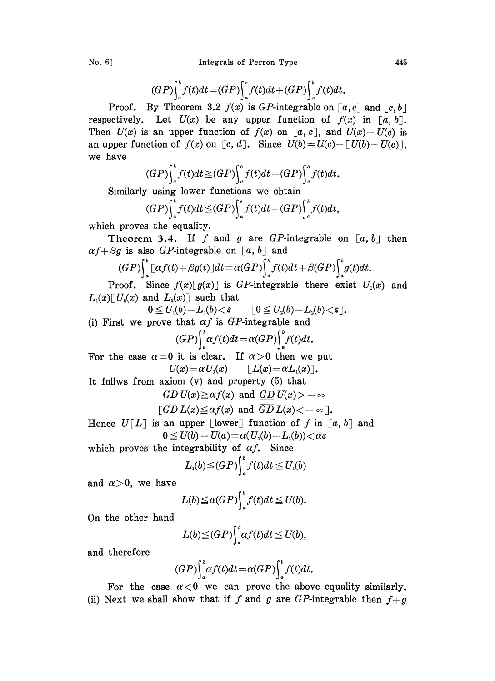$$
(GP)\int_a^b f(t)dt = (GP)\int_a^c f(t)dt + (GP)\int_c^b f(t)dt.
$$

Proof. By Theorem 3.2  $f(x)$  is GP-integrable on  $[a, c]$  and  $[c, b]$ respectively. Let  $U(x)$  be any upper function of  $f(x)$  in [a, b]. Then  $U(x)$  is an upper function of  $f(x)$  on  $[a, c]$ , and  $U(x)-U(c)$  is an upper function of  $f(x)$  on  $[c, d]$ . Since  $U(b) = U(c) + [U(b) - U(c)]$ , we have

$$
(GP)\int_a^b f(t)dt \geq (GP)\int_a^c f(t)dt + (GP)\int_c^b f(t)dt.
$$

Similarly using lower functions we obtain

$$
(GP)\int_a^b f(t)dt \leq (GP)\int_a^c f(t)dt + (GP)\int_c^b f(t)dt,
$$

which proves the equality.

Theorem 3.4. If f and g are GP-integrable on  $[a, b]$  then  $\alpha f+\beta g$  is also GP-integrable on [a, b] and

$$
(GP)\Big|_{a}^{b}\big[\alpha f(t)+\beta g(t)\big]dt=\alpha (GP)\Big|_{a}^{b}f(t)dt+\beta (GP)\Big|_{a}^{b}g(t)dt.
$$

Proof. Since  $f(x)[g(x)]$  is GP-integrable there exist  $U_1(x)$  and  $L_1(x)$ [U<sub>2</sub>(x) and  $L_2(x)$ ] such that

$$
0\leqq U_{\mathfrak{1}}(b)\!-\!L_{\mathfrak{1}}(b)\!<\!\varepsilon \qquad \textcolor{black}{\big[0\!\leqq\! U_{\mathfrak{2}}(b)\!-\!L_{\mathfrak{2}}(b)\!<\!\varepsilon\big]}.
$$

(i) First we prove that  $\alpha f$  is GP-integrable and

$$
(GP)\Big\downarrow^b_a \alpha f(t)dt = \alpha (GP)\Big\downarrow^b_a f(t)dt.
$$

For the case  $\alpha=0$  it is clear. If  $\alpha>0$  then we put  $U(x) = \alpha U_1(x)$   $\qquad \qquad$   $\lceil L(x) = \alpha L_1(x) \rceil$ .

It follws from axiom (v) and property (5) that

$$
\underline{GD} U(x) \geq \alpha f(x) \text{ and } \underline{GD} U(x) > -\infty
$$

$$
[\overline{GD} L(x) \leq \alpha f(x) \text{ and } \overline{GD} L(x) < +\infty].
$$

Hence  $U[L]$  is an upper [lower] function of f in [a, b] and  $0 \le U(b) - U(a) = \alpha(U(b) - L(b)) < \alpha \varepsilon$ 

which proves the integrability of  $\alpha f$ . Since

$$
L_{\mathfrak{1}}(b)\!\leq\!(GP)\!\Big\vert_{a}^{b}f(t)dt\!\leq\!U_{\mathfrak{1}}(b)
$$

and  $\alpha > 0$ , we have

$$
L(b) \leq \alpha(GP) \int_a^b f(t) dt \leq U(b).
$$

On the other hand

$$
L(b) \leq (GP) \int_a^b \alpha f(t) dt \leq U(b),
$$

and therefore

$$
(GP)\int_a^b \alpha f(t)dt = \alpha(GP)\int_a^b f(t)dt.
$$

For the case  $\alpha < 0$  we can prove the above equality similarly. (ii) Next we shall show that if f and g are GP-integrable then  $f+q$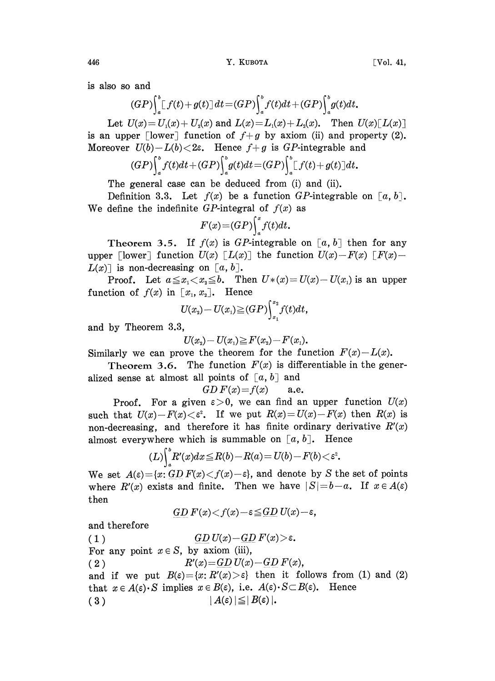is also so and

$$
(GP)\int_a^b [f(t)+g(t)] dt = (GP)\int_a^b f(t)dt + (GP)\int_a^b g(t)dt.
$$

Let  $U(x) = U_1(x) + U_2(x)$  and  $L(x) = L_1(x) + L_2(x)$ . Then  $U(x) [L(x)]$ is an upper  $\lceil \text{lower} \rceil$  function of  $f+g$  by axiom (ii) and property (2). Moreover  $U(b)-L(b) < 2\varepsilon$ . Hence  $f+g$  is GP-integrable and

$$
(GP)\int_a^b f(t)dt+(GP)\int_a^b g(t)dt=(GP)\int_a^b [f(t)+g(t)]dt.
$$

The general case can be deduced from (i) and (ii).

Definition 3.3. Let  $f(x)$  be a function GP-integrable on [a, b]. We define the indefinite GP-integral of  $f(x)$  as

$$
F(x) = (GP) \int_a^x f(t) dt.
$$

Theorem 3.5. If  $f(x)$  is GP-integrable on [a, b] then for any upper [lower] function  $U(x)$  [L(x)] the function  $U(x) - F(x)$  [F(x)- $L(x)$  is non-decreasing on [a, b].

**Proof.** Let  $a \leq x_1 < x_2 \leq b$ . Then  $U*(x) = U(x) - U(x_1)$  is an upper function of  $f(x)$  in  $[x_1, x_2]$ . Hence

$$
U(x_2) - U(x_1) \geq (GP) \int_{x_1}^{x_2} f(t) dt,
$$

and by Theorem 3.3,

$$
U(x_2) - U(x_1) \geq F(x_2) - F(x_1).
$$

Similarly we can prove the theorem for the function  $F(x)-L(x)$ .

Theorem 3.6. The function  $F(x)$  is differentiable in the generalized sense at almost all points of  $[a, b]$  and

$$
GD F(x) = f(x) \qquad \text{a.e.}
$$

 $GD F(x) = f(x)$  a.e.<br>Proof. For a given  $\varepsilon > 0$ , we can find an upper function  $U(x)$ such that  $U(x) - F(x) < \varepsilon^2$ . If we put  $R(x) = U(x) - F(x)$  then  $R(x)$  is non-decreasing, and therefore it has finite ordinary derivative  $R'(x)$ almost everywhere which is summable on  $[a, b]$ . Hence

$$
(L)\int_a^b R'(x)dx \leq R(b) - R(a) = U(b) - F(b) < \varepsilon^2.
$$

We set  $A(\epsilon) = \{x : GD F(x) < f(x) - \epsilon\}$ , and denote by S the set of points where  $R'(x)$  exists and finite. Then we have  $|S|=b-a$ . If  $x \in A(\epsilon)$ then

$$
\underline{GD} F(x) < f(x) - \varepsilon \leq \underline{GD} U(x) - \varepsilon,
$$

and therefore

( 1 ) GD  $U(x) - GD F(x) > \epsilon$ . For any point  $x \in S$ , by axiom (iii), (2)  $R'(x) = \frac{GD U(x) - GD F(x)}{x}$ and if we put  $B(\varepsilon) = \{x: R'(x) > \varepsilon\}$  then it follows from (1) and (2) that  $x \in A(\varepsilon) \cdot S$  implies  $x \in B(\varepsilon)$ , i.e.  $A(\varepsilon) \cdot S \subset B(\varepsilon)$ . Hence ( 3 )  $|A(\varepsilon)| \leq |B(\varepsilon)|$ .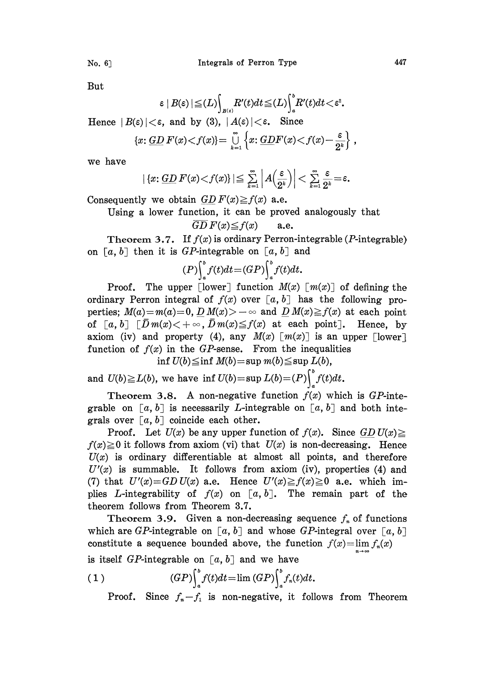No. 6 1 Integrals of Perron Type 447

But

$$
\varepsilon \mid B(\varepsilon) \mid \leq (L) \int_{B(\varepsilon)} R'(t) dt \leq (L) \int_a^b R'(t) dt < \varepsilon^2.
$$

Hence  $|B(\varepsilon)| < \varepsilon$ , and by (3),  $|A(\varepsilon)| < \varepsilon$ . Since

$$
\{x\colon \underline{GD}\,F(x)\lt f(x)\}=\bigcup_{k=1}^\infty\left\{x\colon \underline{GD}F(x)\lt f(x)-\frac{\varepsilon}{2^k}\right\}\,,
$$

we have

$$
|\{x: \underline{GD} \, F(x) < f(x)\}| \leq \sum_{k=1}^{\infty} \left| A\left(\frac{\varepsilon}{2^k}\right) \right| < \sum_{k=1}^{\infty} \frac{\varepsilon}{2^k} = \varepsilon.
$$
\nConsequently we obtain  $\underline{GD} \, F(x) \geq f(x)$  a.e.

Using a lower function, it can be proved analogously that

$$
\overline{GD}\,F(x) \leq f(x) \qquad \text{a.e.}
$$

Theorem 3.7. If  $f(x)$  is ordinary Perron-integrable (*P*-integrable) on  $[a, b]$  then it is GP-integrable on  $[a, b]$  and

$$
(P)\int_a^b f(t)dt = (GP)\int_a^b f(t)dt.
$$

**Proof.** The upper [lower] function  $M(x)$   $[m(x)]$  of defining the ordinary Perron integral of  $f(x)$  over  $[a, b]$  has the following properties;  $M(a)=m(a)=0$ ,  $D M(x)>-\infty$  and  $D M(x)\ge f(x)$  at each point of  $[a, b]$   $[\bar{D}m(x) < +\infty, \bar{D}m(x) \leq f(x)$  at each point]. Hence, by axiom (iv) and property (4), any  $M(x)$  [ $m(x)$ ] is an upper [lower] function of  $f(x)$  in the GP-sense. From the inequalities

inf  $U(b) \leq \inf M(b) = \sup m(b) \leq \sup L(b)$ ,

and  $U(b) \geq L(b)$ , we have inf  $U(b) = \sup L(b) = (P) \int_a^b f(t) dt$ .

Theorem 3.8. A non-negative function  $f(x)$  which is GP-integrable on  $[a, b]$  is necessarily *L*-integrable on  $[a, b]$  and both integrals over  $[a, b]$  coincide each other.

Proof. Let  $U(x)$  be any upper function of  $f(x)$ . Since  $GD U(x) \ge$  $f(x) \ge 0$  it follows from axiom (vi) that  $U(x)$  is non-decreasing. Hence  $U(x)$  is ordinary differentiable at almost all points, and therefore  $U'(x)$  is summable. It follows from axiom (iv), properties (4) and (7) that  $U'(x)=GD U(x)$  a.e. Hence  $U'(x) \ge f(x) \ge 0$  a.e. which implies L-integrability of  $f(x)$  on  $[a, b]$ . The remain part of the theorem follows from Theorem 8.7.

Theorem 3.9. Given a non-decreasing sequence  $f_n$  of functions which are GP-integrable on  $[a, b]$  and whose GP-integral over  $[a, b]$ constitute a sequence bounded above, the function  $f(x)=\lim f_n(x)$ 

is itself GP-integrable on  $[a, b]$  and we have

(1) 
$$
(GP)\int_a^b f(t)dt = \lim (GP)\int_a^b f_n(t)dt.
$$

Proof. Since  $f_n-f_1$  is non-negative, it follows from Theorem